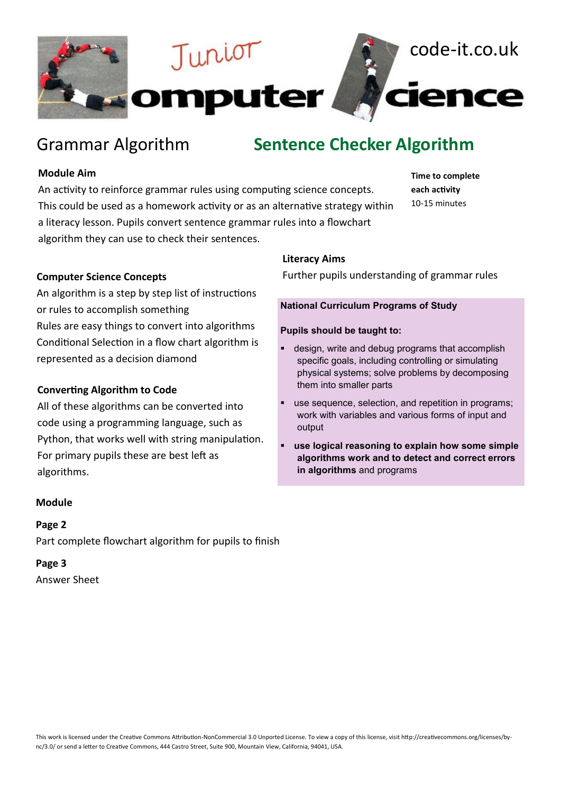

# Grammar Algorithm **Sentence Checker Algorithm**

## **Module Aim**

An activity to reinforce grammar rules using computing science concepts. This could be used as a homework activity or as an alternative strategy within a literacy lesson. Pupils convert sentence grammar rules into a flowchart algorithm they can use to check their sentences.

**Time to complete each activity** 10-15 minutes

## **Computer Science Concepts**

An algorithm is a step by step list of instructions or rules to accomplish something Rules are easy things to convert into algorithms Conditional Selection in a flow chart algorithm is represented as a decision diamond

## **Converting Algorithm to Code**

All of these algorithms can be converted into code using a programming language, such as Python, that works well with string manipulation. For primary pupils these are best left as algorithms.

#### **Module**

# **Page 2**

Part complete flowchart algorithm for pupils to finish

# **Page 3**

Answer Sheet

## **Literacy Aims**

Further pupils understanding of grammar rules

#### **National Curriculum Programs of Study**

#### **Pupils should be taught to:**

- design, write and debug programs that accomplish specific goals, including controlling or simulating physical systems; solve problems by decomposing them into smaller parts
- use sequence, selection, and repetition in programs; work with variables and various forms of input and output
- use logical reasoning to explain how some simple **algorithms work and to detect and correct errors in algorithms** and programs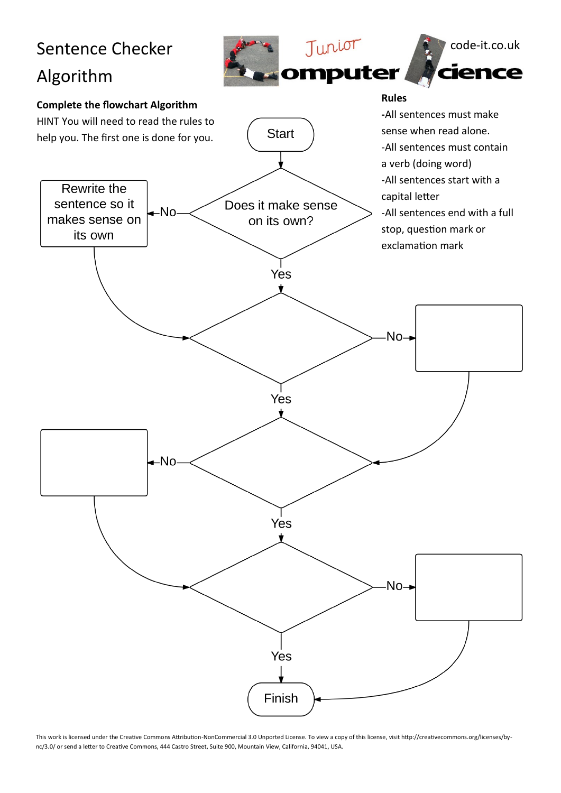

This work is licensed under the Creative Commons Attribution-NonCommercial 3.0 Unported License. To view a copy of this license, visit http://creativecommons.org/licenses/bync/3.0/ or send a letter to Creative Commons, 444 Castro Street, Suite 900, Mountain View, California, 94041, USA.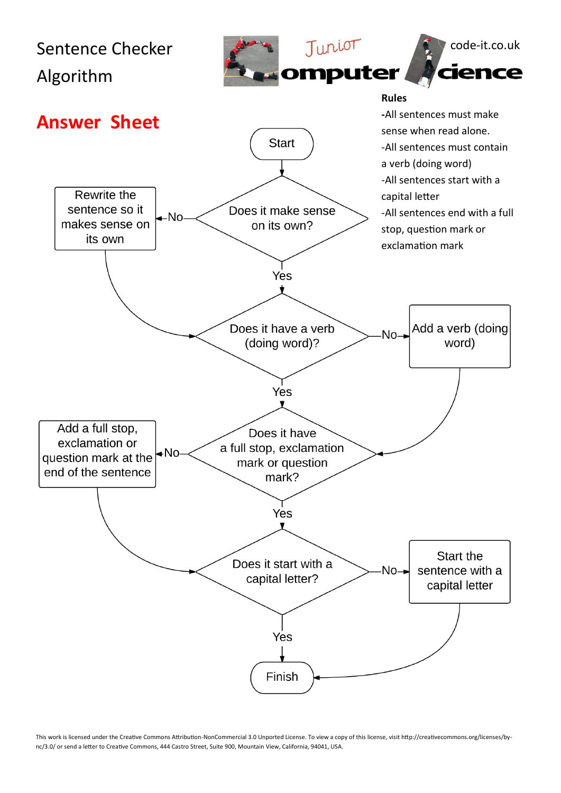

This work is licensed under the Creative Commons Attribution-NonCommercial 3.0 Unported License. To view a copy of this license, visit http://creativecommons.org/licenses/bync/3.0/ or send a letter to Creative Commons, 444 Castro Street, Suite 900, Mountain View, California, 94041, USA.